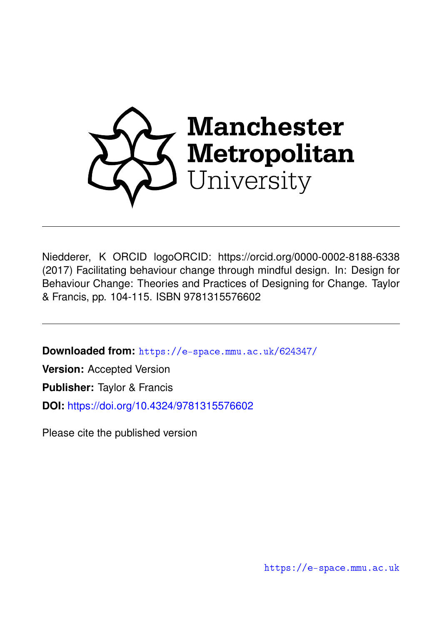

Niedderer, K ORCID logoORCID: https://orcid.org/0000-0002-8188-6338 (2017) Facilitating behaviour change through mindful design. In: Design for Behaviour Change: Theories and Practices of Designing for Change. Taylor & Francis, pp. 104-115. ISBN 9781315576602

**Downloaded from:** <https://e-space.mmu.ac.uk/624347/>

**Version:** Accepted Version

**Publisher:** Taylor & Francis

**DOI:** <https://doi.org/10.4324/9781315576602>

Please cite the published version

<https://e-space.mmu.ac.uk>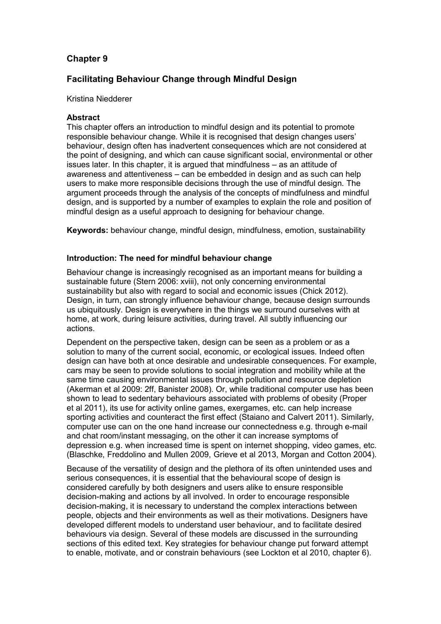# **Chapter 9**

# **Facilitating Behaviour Change through Mindful Design**

### Kristina Niedderer

### **Abstract**

This chapter offers an introduction to mindful design and its potential to promote responsible behaviour change. While it is recognised that design changes users' behaviour, design often has inadvertent consequences which are not considered at the point of designing, and which can cause significant social, environmental or other issues later. In this chapter, it is argued that mindfulness – as an attitude of awareness and attentiveness – can be embedded in design and as such can help users to make more responsible decisions through the use of mindful design. The argument proceeds through the analysis of the concepts of mindfulness and mindful design, and is supported by a number of examples to explain the role and position of mindful design as a useful approach to designing for behaviour change.

**Keywords:** behaviour change, mindful design, mindfulness, emotion, sustainability

### **Introduction: The need for mindful behaviour change**

Behaviour change is increasingly recognised as an important means for building a sustainable future (Stern 2006: xviii), not only concerning environmental sustainability but also with regard to social and economic issues (Chick 2012). Design, in turn, can strongly influence behaviour change, because design surrounds us ubiquitously. Design is everywhere in the things we surround ourselves with at home, at work, during leisure activities, during travel. All subtly influencing our actions.

Dependent on the perspective taken, design can be seen as a problem or as a solution to many of the current social, economic, or ecological issues. Indeed often design can have both at once desirable and undesirable consequences. For example, cars may be seen to provide solutions to social integration and mobility while at the same time causing environmental issues through pollution and resource depletion (Akerman et al 2009: 2ff, Banister 2008). Or, while traditional computer use has been shown to lead to sedentary behaviours associated with problems of obesity (Proper et al 2011), its use for activity online games, exergames, etc. can help increase sporting activities and counteract the first effect (Staiano and Calvert 2011). Similarly, computer use can on the one hand increase our connectedness e.g. through e-mail and chat room/instant messaging, on the other it can increase symptoms of depression e.g. when increased time is spent on internet shopping, video games, etc. (Blaschke, Freddolino and Mullen 2009, Grieve et al 2013, Morgan and Cotton 2004).

Because of the versatility of design and the plethora of its often unintended uses and serious consequences, it is essential that the behavioural scope of design is considered carefully by both designers and users alike to ensure responsible decision-making and actions by all involved. In order to encourage responsible decision-making, it is necessary to understand the complex interactions between people, objects and their environments as well as their motivations. Designers have developed different models to understand user behaviour, and to facilitate desired behaviours via design. Several of these models are discussed in the surrounding sections of this edited text. Key strategies for behaviour change put forward attempt to enable, motivate, and or constrain behaviours (see Lockton et al 2010, chapter 6).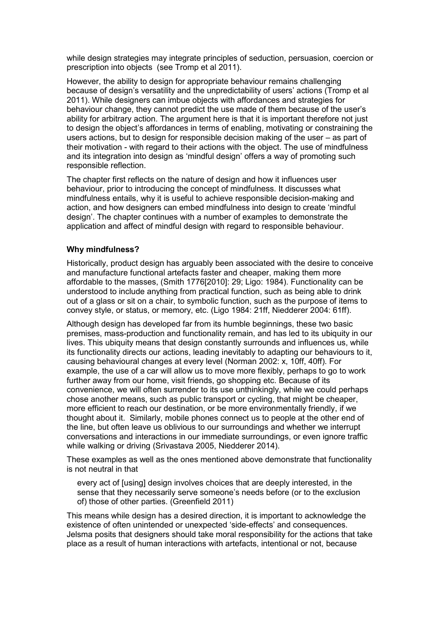while design strategies may integrate principles of seduction, persuasion, coercion or prescription into objects (see Tromp et al 2011).

However, the ability to design for appropriate behaviour remains challenging because of design's versatility and the unpredictability of users' actions (Tromp et al 2011). While designers can imbue objects with affordances and strategies for behaviour change, they cannot predict the use made of them because of the user's ability for arbitrary action. The argument here is that it is important therefore not just to design the object's affordances in terms of enabling, motivating or constraining the users actions, but to design for responsible decision making of the user – as part of their motivation - with regard to their actions with the object. The use of mindfulness and its integration into design as 'mindful design' offers a way of promoting such responsible reflection.

The chapter first reflects on the nature of design and how it influences user behaviour, prior to introducing the concept of mindfulness. It discusses what mindfulness entails, why it is useful to achieve responsible decision-making and action, and how designers can embed mindfulness into design to create 'mindful design'. The chapter continues with a number of examples to demonstrate the application and affect of mindful design with regard to responsible behaviour.

# **Why mindfulness?**

Historically, product design has arguably been associated with the desire to conceive and manufacture functional artefacts faster and cheaper, making them more affordable to the masses, (Smith 1776[2010]: 29; Ligo: 1984). Functionality can be understood to include anything from practical function, such as being able to drink out of a glass or sit on a chair, to symbolic function, such as the purpose of items to convey style, or status, or memory, etc. (Ligo 1984: 21ff, Niedderer 2004: 61ff).

Although design has developed far from its humble beginnings, these two basic premises, mass-production and functionality remain, and has led to its ubiquity in our lives. This ubiquity means that design constantly surrounds and influences us, while its functionality directs our actions, leading inevitably to adapting our behaviours to it, causing behavioural changes at every level (Norman 2002: x, 10ff, 40ff). For example, the use of a car will allow us to move more flexibly, perhaps to go to work further away from our home, visit friends, go shopping etc. Because of its convenience, we will often surrender to its use unthinkingly, while we could perhaps chose another means, such as public transport or cycling, that might be cheaper, more efficient to reach our destination, or be more environmentally friendly, if we thought about it. Similarly, mobile phones connect us to people at the other end of the line, but often leave us oblivious to our surroundings and whether we interrupt conversations and interactions in our immediate surroundings, or even ignore traffic while walking or driving (Srivastava 2005, Niedderer 2014).

These examples as well as the ones mentioned above demonstrate that functionality is not neutral in that

every act of [using] design involves choices that are deeply interested, in the sense that they necessarily serve someone's needs before (or to the exclusion of) those of other parties. (Greenfield 2011)

This means while design has a desired direction, it is important to acknowledge the existence of often unintended or unexpected 'side-effects' and consequences. Jelsma posits that designers should take moral responsibility for the actions that take place as a result of human interactions with artefacts, intentional or not, because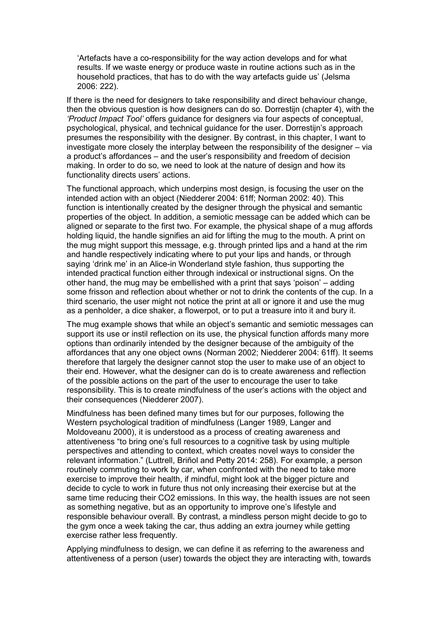'Artefacts have a co-responsibility for the way action develops and for what results. If we waste energy or produce waste in routine actions such as in the household practices, that has to do with the way artefacts guide us' (Jelsma 2006: 222).

If there is the need for designers to take responsibility and direct behaviour change, then the obvious question is how designers can do so. Dorrestijn (chapter 4), with the *'Product Impact Tool'* offers guidance for designers via four aspects of conceptual, psychological, physical, and technical guidance for the user. Dorrestijn's approach presumes the responsibility with the designer. By contrast, in this chapter, I want to investigate more closely the interplay between the responsibility of the designer – via a product's affordances – and the user's responsibility and freedom of decision making. In order to do so, we need to look at the nature of design and how its functionality directs users' actions.

The functional approach, which underpins most design, is focusing the user on the intended action with an object (Niedderer 2004: 61ff; Norman 2002: 40). This function is intentionally created by the designer through the physical and semantic properties of the object. In addition, a semiotic message can be added which can be aligned or separate to the first two. For example, the physical shape of a mug affords holding liquid, the handle signifies an aid for lifting the mug to the mouth. A print on the mug might support this message, e.g. through printed lips and a hand at the rim and handle respectively indicating where to put your lips and hands, or through saying 'drink me' in an Alice-in Wonderland style fashion, thus supporting the intended practical function either through indexical or instructional signs. On the other hand, the mug may be embellished with a print that says 'poison' – adding some frisson and reflection about whether or not to drink the contents of the cup. In a third scenario, the user might not notice the print at all or ignore it and use the mug as a penholder, a dice shaker, a flowerpot, or to put a treasure into it and bury it.

The mug example shows that while an object's semantic and semiotic messages can support its use or instil reflection on its use, the physical function affords many more options than ordinarily intended by the designer because of the ambiguity of the affordances that any one object owns (Norman 2002; Niedderer 2004: 61ff). It seems therefore that largely the designer cannot stop the user to make use of an object to their end. However, what the designer can do is to create awareness and reflection of the possible actions on the part of the user to encourage the user to take responsibility. This is to create mindfulness of the user's actions with the object and their consequences (Niedderer 2007).

Mindfulness has been defined many times but for our purposes, following the Western psychological tradition of mindfulness (Langer 1989, Langer and Moldoveanu 2000), it is understood as a process of creating awareness and attentiveness "to bring one's full resources to a cognitive task by using multiple perspectives and attending to context, which creates novel ways to consider the relevant information." (Luttrell, Briñol and Petty 2014: 258). For example, a person routinely commuting to work by car, when confronted with the need to take more exercise to improve their health, if mindful, might look at the bigger picture and decide to cycle to work in future thus not only increasing their exercise but at the same time reducing their CO2 emissions. In this way, the health issues are not seen as something negative, but as an opportunity to improve one's lifestyle and responsible behaviour overall. By contrast, a mindless person might decide to go to the gym once a week taking the car, thus adding an extra journey while getting exercise rather less frequently.

Applying mindfulness to design, we can define it as referring to the awareness and attentiveness of a person (user) towards the object they are interacting with, towards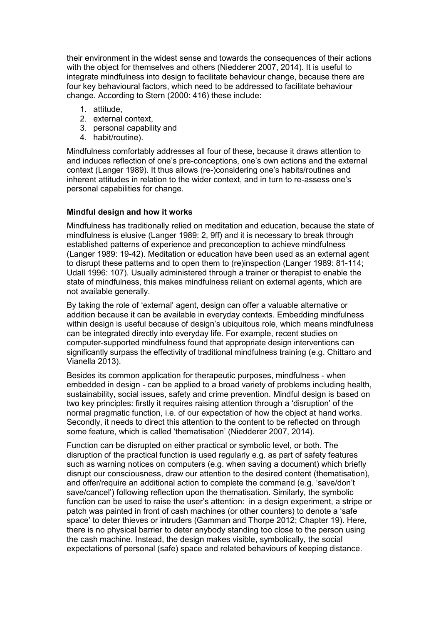their environment in the widest sense and towards the consequences of their actions with the object for themselves and others (Niedderer 2007, 2014). It is useful to integrate mindfulness into design to facilitate behaviour change, because there are four key behavioural factors, which need to be addressed to facilitate behaviour change. According to Stern (2000: 416) these include:

- 1. attitude,
- 2. external context,
- 3. personal capability and
- 4. habit/routine).

Mindfulness comfortably addresses all four of these, because it draws attention to and induces reflection of one's pre-conceptions, one's own actions and the external context (Langer 1989). It thus allows (re-)considering one's habits/routines and inherent attitudes in relation to the wider context, and in turn to re-assess one's personal capabilities for change.

### **Mindful design and how it works**

Mindfulness has traditionally relied on meditation and education, because the state of mindfulness is elusive (Langer 1989: 2, 9ff) and it is necessary to break through established patterns of experience and preconception to achieve mindfulness (Langer 1989: 19-42). Meditation or education have been used as an external agent to disrupt these patterns and to open them to (re)inspection (Langer 1989: 81-114; Udall 1996: 107). Usually administered through a trainer or therapist to enable the state of mindfulness, this makes mindfulness reliant on external agents, which are not available generally.

By taking the role of 'external' agent, design can offer a valuable alternative or addition because it can be available in everyday contexts. Embedding mindfulness within design is useful because of design's ubiquitous role, which means mindfulness can be integrated directly into everyday life. For example, recent studies on computer-supported mindfulness found that appropriate design interventions can significantly surpass the effectivity of traditional mindfulness training (e.g. Chittaro and Vianella 2013).

Besides its common application for therapeutic purposes, mindfulness - when embedded in design - can be applied to a broad variety of problems including health, sustainability, social issues, safety and crime prevention. Mindful design is based on two key principles: firstly it requires raising attention through a 'disruption' of the normal pragmatic function, i.e. of our expectation of how the object at hand works. Secondly, it needs to direct this attention to the content to be reflected on through some feature, which is called 'thematisation' (Niedderer 2007, 2014).

Function can be disrupted on either practical or symbolic level, or both. The disruption of the practical function is used regularly e.g. as part of safety features such as warning notices on computers (e.g. when saving a document) which briefly disrupt our consciousness, draw our attention to the desired content (thematisation), and offer/require an additional action to complete the command (e.g. 'save/don't save/cancel') following reflection upon the thematisation. Similarly, the symbolic function can be used to raise the user's attention: in a design experiment, a stripe or patch was painted in front of cash machines (or other counters) to denote a 'safe space' to deter thieves or intruders (Gamman and Thorpe 2012; Chapter 19). Here, there is no physical barrier to deter anybody standing too close to the person using the cash machine. Instead, the design makes visible, symbolically, the social expectations of personal (safe) space and related behaviours of keeping distance.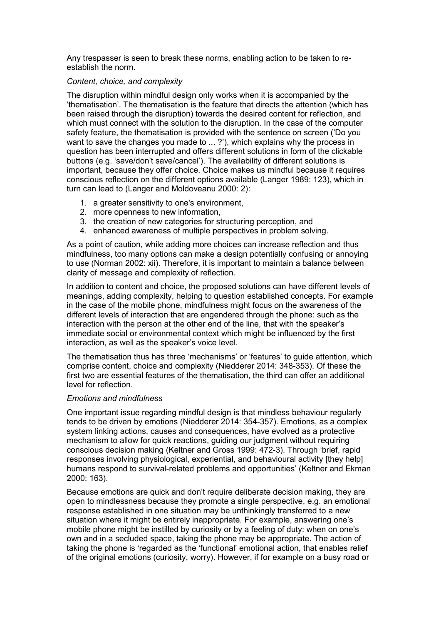Any trespasser is seen to break these norms, enabling action to be taken to reestablish the norm.

### *Content, choice, and complexity*

The disruption within mindful design only works when it is accompanied by the 'thematisation'. The thematisation is the feature that directs the attention (which has been raised through the disruption) towards the desired content for reflection, and which must connect with the solution to the disruption. In the case of the computer safety feature, the thematisation is provided with the sentence on screen ('Do you want to save the changes you made to ... ?'), which explains why the process in question has been interrupted and offers different solutions in form of the clickable buttons (e.g. 'save/don't save/cancel'). The availability of different solutions is important, because they offer choice. Choice makes us mindful because it requires conscious reflection on the different options available (Langer 1989: 123), which in turn can lead to (Langer and Moldoveanu 2000: 2):

- 1. a greater sensitivity to one's environment,
- 2. more openness to new information,
- 3. the creation of new categories for structuring perception, and
- 4. enhanced awareness of multiple perspectives in problem solving.

As a point of caution, while adding more choices can increase reflection and thus mindfulness, too many options can make a design potentially confusing or annoying to use (Norman 2002: xii). Therefore, it is important to maintain a balance between clarity of message and complexity of reflection.

In addition to content and choice, the proposed solutions can have different levels of meanings, adding complexity, helping to question established concepts. For example in the case of the mobile phone, mindfulness might focus on the awareness of the different levels of interaction that are engendered through the phone: such as the interaction with the person at the other end of the line, that with the speaker's immediate social or environmental context which might be influenced by the first interaction, as well as the speaker's voice level.

The thematisation thus has three 'mechanisms' or 'features' to guide attention, which comprise content, choice and complexity (Niedderer 2014: 348-353). Of these the first two are essential features of the thematisation, the third can offer an additional level for reflection.

### *Emotions and mindfulness*

One important issue regarding mindful design is that mindless behaviour regularly tends to be driven by emotions (Niedderer 2014: 354-357). Emotions, as a complex system linking actions, causes and consequences, have evolved as a protective mechanism to allow for quick reactions, guiding our judgment without requiring conscious decision making (Keltner and Gross 1999: 472-3). Through 'brief, rapid responses involving physiological, experiential, and behavioural activity [they help] humans respond to survival-related problems and opportunities' (Keltner and Ekman 2000: 163).

Because emotions are quick and don't require deliberate decision making, they are open to mindlessness because they promote a single perspective, e.g. an emotional response established in one situation may be unthinkingly transferred to a new situation where it might be entirely inappropriate. For example, answering one's mobile phone might be instilled by curiosity or by a feeling of duty: when on one's own and in a secluded space, taking the phone may be appropriate. The action of taking the phone is 'regarded as the 'functional' emotional action, that enables relief of the original emotions (curiosity, worry). However, if for example on a busy road or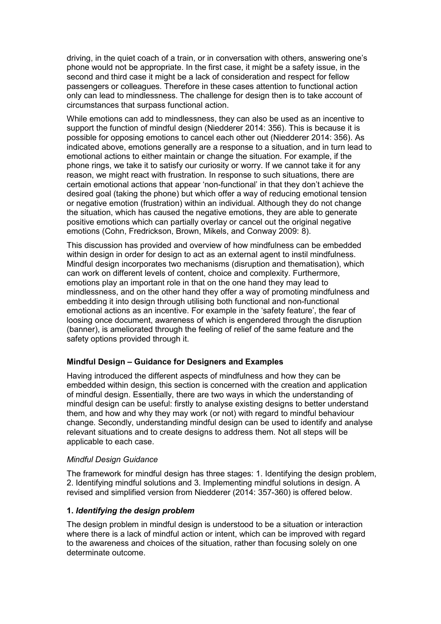driving, in the quiet coach of a train, or in conversation with others, answering one's phone would not be appropriate. In the first case, it might be a safety issue, in the second and third case it might be a lack of consideration and respect for fellow passengers or colleagues. Therefore in these cases attention to functional action only can lead to mindlessness. The challenge for design then is to take account of circumstances that surpass functional action.

While emotions can add to mindlessness, they can also be used as an incentive to support the function of mindful design (Niedderer 2014: 356). This is because it is possible for opposing emotions to cancel each other out (Niedderer 2014: 356). As indicated above, emotions generally are a response to a situation, and in turn lead to emotional actions to either maintain or change the situation. For example, if the phone rings, we take it to satisfy our curiosity or worry. If we cannot take it for any reason, we might react with frustration. In response to such situations, there are certain emotional actions that appear 'non-functional' in that they don't achieve the desired goal (taking the phone) but which offer a way of reducing emotional tension or negative emotion (frustration) within an individual. Although they do not change the situation, which has caused the negative emotions, they are able to generate positive emotions which can partially overlay or cancel out the original negative emotions (Cohn, Fredrickson, Brown, Mikels, and Conway 2009: 8).

This discussion has provided and overview of how mindfulness can be embedded within design in order for design to act as an external agent to instil mindfulness. Mindful design incorporates two mechanisms (disruption and thematisation), which can work on different levels of content, choice and complexity. Furthermore, emotions play an important role in that on the one hand they may lead to mindlessness, and on the other hand they offer a way of promoting mindfulness and embedding it into design through utilising both functional and non-functional emotional actions as an incentive. For example in the 'safety feature', the fear of loosing once document, awareness of which is engendered through the disruption (banner), is ameliorated through the feeling of relief of the same feature and the safety options provided through it.

# **Mindful Design – Guidance for Designers and Examples**

Having introduced the different aspects of mindfulness and how they can be embedded within design, this section is concerned with the creation and application of mindful design. Essentially, there are two ways in which the understanding of mindful design can be useful: firstly to analyse existing designs to better understand them, and how and why they may work (or not) with regard to mindful behaviour change. Secondly, understanding mindful design can be used to identify and analyse relevant situations and to create designs to address them. Not all steps will be applicable to each case.

# *Mindful Design Guidance*

The framework for mindful design has three stages: 1. Identifying the design problem, 2. Identifying mindful solutions and 3. Implementing mindful solutions in design. A revised and simplified version from Niedderer (2014: 357-360) is offered below.

# **1.** *Identifying the design problem*

The design problem in mindful design is understood to be a situation or interaction where there is a lack of mindful action or intent, which can be improved with regard to the awareness and choices of the situation, rather than focusing solely on one determinate outcome.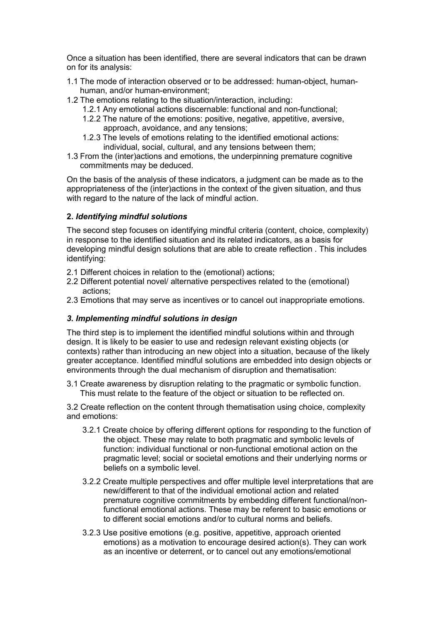Once a situation has been identified, there are several indicators that can be drawn on for its analysis:

- 1.1 The mode of interaction observed or to be addressed: human-object, humanhuman, and/or human-environment;
- 1.2 The emotions relating to the situation/interaction, including:
	- 1.2.1 Any emotional actions discernable: functional and non-functional;
	- 1.2.2 The nature of the emotions: positive, negative, appetitive, aversive, approach, avoidance, and any tensions;
	- 1.2.3 The levels of emotions relating to the identified emotional actions: individual, social, cultural, and any tensions between them;
- 1.3 From the (inter)actions and emotions, the underpinning premature cognitive commitments may be deduced.

On the basis of the analysis of these indicators, a judgment can be made as to the appropriateness of the (inter)actions in the context of the given situation, and thus with regard to the nature of the lack of mindful action.

# **2.** *Identifying mindful solutions*

The second step focuses on identifying mindful criteria (content, choice, complexity) in response to the identified situation and its related indicators, as a basis for developing mindful design solutions that are able to create reflection . This includes identifying:

- 2.1 Different choices in relation to the (emotional) actions;
- 2.2 Different potential novel/ alternative perspectives related to the (emotional) actions;
- 2.3 Emotions that may serve as incentives or to cancel out inappropriate emotions.

# *3. Implementing mindful solutions in design*

The third step is to implement the identified mindful solutions within and through design. It is likely to be easier to use and redesign relevant existing objects (or contexts) rather than introducing an new object into a situation, because of the likely greater acceptance. Identified mindful solutions are embedded into design objects or environments through the dual mechanism of disruption and thematisation:

3.1 Create awareness by disruption relating to the pragmatic or symbolic function. This must relate to the feature of the object or situation to be reflected on.

3.2 Create reflection on the content through thematisation using choice, complexity and emotions:

- 3.2.1 Create choice by offering different options for responding to the function of the object. These may relate to both pragmatic and symbolic levels of function: individual functional or non-functional emotional action on the pragmatic level; social or societal emotions and their underlying norms or beliefs on a symbolic level.
- 3.2.2 Create multiple perspectives and offer multiple level interpretations that are new/different to that of the individual emotional action and related premature cognitive commitments by embedding different functional/nonfunctional emotional actions. These may be referent to basic emotions or to different social emotions and/or to cultural norms and beliefs.
- 3.2.3 Use positive emotions (e.g. positive, appetitive, approach oriented emotions) as a motivation to encourage desired action(s). They can work as an incentive or deterrent, or to cancel out any emotions/emotional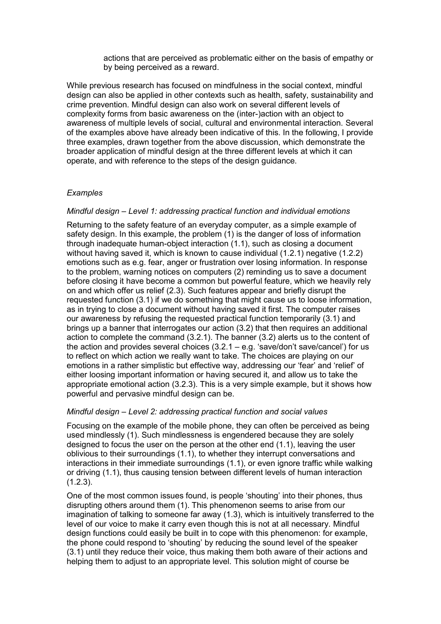actions that are perceived as problematic either on the basis of empathy or by being perceived as a reward.

While previous research has focused on mindfulness in the social context, mindful design can also be applied in other contexts such as health, safety, sustainability and crime prevention. Mindful design can also work on several different levels of complexity forms from basic awareness on the (inter-)action with an object to awareness of multiple levels of social, cultural and environmental interaction. Several of the examples above have already been indicative of this. In the following, I provide three examples, drawn together from the above discussion, which demonstrate the broader application of mindful design at the three different levels at which it can operate, and with reference to the steps of the design guidance.

### *Examples*

### *Mindful design – Level 1: addressing practical function and individual emotions*

Returning to the safety feature of an everyday computer, as a simple example of safety design. In this example, the problem (1) is the danger of loss of information through inadequate human-object interaction (1.1), such as closing a document without having saved it, which is known to cause individual (1.2.1) negative (1.2.2) emotions such as e.g. fear, anger or frustration over losing information. In response to the problem, warning notices on computers (2) reminding us to save a document before closing it have become a common but powerful feature, which we heavily rely on and which offer us relief (2.3). Such features appear and briefly disrupt the requested function (3.1) if we do something that might cause us to loose information, as in trying to close a document without having saved it first. The computer raises our awareness by refusing the requested practical function temporarily (3.1) and brings up a banner that interrogates our action (3.2) that then requires an additional action to complete the command (3.2.1). The banner (3.2) alerts us to the content of the action and provides several choices  $(3.2.1 - e.g.$  'save/don't save/cancel') for us to reflect on which action we really want to take. The choices are playing on our emotions in a rather simplistic but effective way, addressing our 'fear' and 'relief' of either loosing important information or having secured it, and allow us to take the appropriate emotional action (3.2.3). This is a very simple example, but it shows how powerful and pervasive mindful design can be.

### *Mindful design – Level 2: addressing practical function and social values*

Focusing on the example of the mobile phone, they can often be perceived as being used mindlessly (1). Such mindlessness is engendered because they are solely designed to focus the user on the person at the other end (1.1), leaving the user oblivious to their surroundings (1.1), to whether they interrupt conversations and interactions in their immediate surroundings (1.1), or even ignore traffic while walking or driving (1.1), thus causing tension between different levels of human interaction  $(1.2.3)$ .

One of the most common issues found, is people 'shouting' into their phones, thus disrupting others around them (1). This phenomenon seems to arise from our imagination of talking to someone far away (1.3), which is intuitively transferred to the level of our voice to make it carry even though this is not at all necessary. Mindful design functions could easily be built in to cope with this phenomenon: for example, the phone could respond to 'shouting' by reducing the sound level of the speaker (3.1) until they reduce their voice, thus making them both aware of their actions and helping them to adjust to an appropriate level. This solution might of course be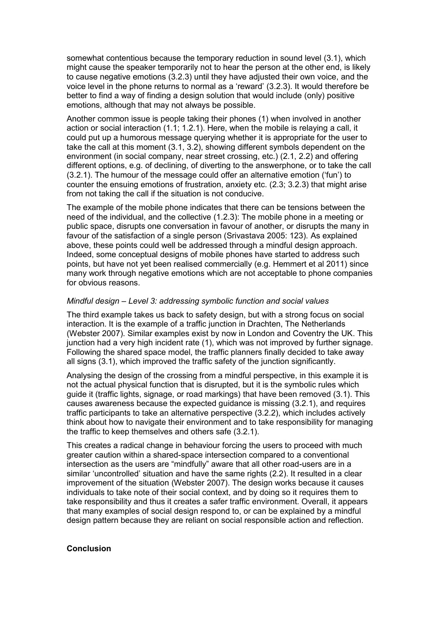somewhat contentious because the temporary reduction in sound level (3.1), which might cause the speaker temporarily not to hear the person at the other end, is likely to cause negative emotions (3.2.3) until they have adjusted their own voice, and the voice level in the phone returns to normal as a 'reward' (3.2.3). It would therefore be better to find a way of finding a design solution that would include (only) positive emotions, although that may not always be possible.

Another common issue is people taking their phones (1) when involved in another action or social interaction (1.1; 1.2.1). Here, when the mobile is relaying a call, it could put up a humorous message querying whether it is appropriate for the user to take the call at this moment (3.1, 3.2), showing different symbols dependent on the environment (in social company, near street crossing, etc.) (2.1, 2.2) and offering different options, e.g. of declining, of diverting to the answerphone, or to take the call (3.2.1). The humour of the message could offer an alternative emotion ('fun') to counter the ensuing emotions of frustration, anxiety etc. (2.3; 3.2.3) that might arise from not taking the call if the situation is not conducive.

The example of the mobile phone indicates that there can be tensions between the need of the individual, and the collective (1.2.3): The mobile phone in a meeting or public space, disrupts one conversation in favour of another, or disrupts the many in favour of the satisfaction of a single person (Srivastava 2005: 123). As explained above, these points could well be addressed through a mindful design approach. Indeed, some conceptual designs of mobile phones have started to address such points, but have not yet been realised commercially (e.g. Hemmert et al 2011) since many work through negative emotions which are not acceptable to phone companies for obvious reasons.

### *Mindful design – Level 3: addressing symbolic function and social values*

The third example takes us back to safety design, but with a strong focus on social interaction. It is the example of a traffic junction in Drachten, The Netherlands (Webster 2007). Similar examples exist by now in London and Coventry the UK. This junction had a very high incident rate (1), which was not improved by further signage. Following the shared space model, the traffic planners finally decided to take away all signs (3.1), which improved the traffic safety of the junction significantly.

Analysing the design of the crossing from a mindful perspective, in this example it is not the actual physical function that is disrupted, but it is the symbolic rules which guide it (traffic lights, signage, or road markings) that have been removed (3.1). This causes awareness because the expected guidance is missing (3.2.1), and requires traffic participants to take an alternative perspective (3.2.2), which includes actively think about how to navigate their environment and to take responsibility for managing the traffic to keep themselves and others safe (3.2.1).

This creates a radical change in behaviour forcing the users to proceed with much greater caution within a shared-space intersection compared to a conventional intersection as the users are "mindfully" aware that all other road-users are in a similar 'uncontrolled' situation and have the same rights (2.2). It resulted in a clear improvement of the situation (Webster 2007). The design works because it causes individuals to take note of their social context, and by doing so it requires them to take responsibility and thus it creates a safer traffic environment. Overall, it appears that many examples of social design respond to, or can be explained by a mindful design pattern because they are reliant on social responsible action and reflection.

### **Conclusion**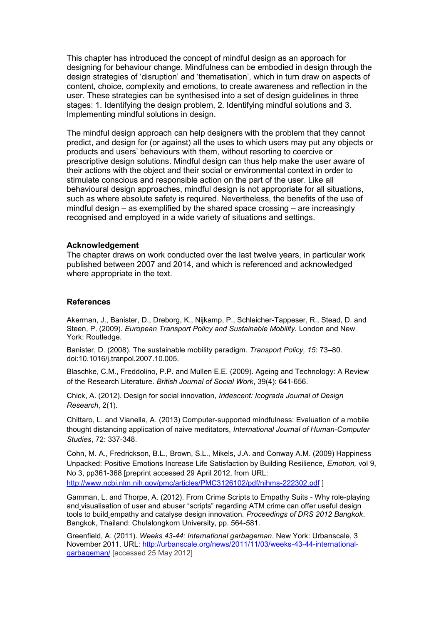This chapter has introduced the concept of mindful design as an approach for designing for behaviour change. Mindfulness can be embodied in design through the design strategies of 'disruption' and 'thematisation', which in turn draw on aspects of content, choice, complexity and emotions, to create awareness and reflection in the user. These strategies can be synthesised into a set of design guidelines in three stages: 1. Identifying the design problem, 2. Identifying mindful solutions and 3. Implementing mindful solutions in design.

The mindful design approach can help designers with the problem that they cannot predict, and design for (or against) all the uses to which users may put any objects or products and users' behaviours with them, without resorting to coercive or prescriptive design solutions. Mindful design can thus help make the user aware of their actions with the object and their social or environmental context in order to stimulate conscious and responsible action on the part of the user. Like all behavioural design approaches, mindful design is not appropriate for all situations, such as where absolute safety is required. Nevertheless, the benefits of the use of mindful design – as exemplified by the shared space crossing – are increasingly recognised and employed in a wide variety of situations and settings.

#### **Acknowledgement**

The chapter draws on work conducted over the last twelve years, in particular work published between 2007 and 2014, and which is referenced and acknowledged where appropriate in the text.

#### **References**

Akerman, J., Banister, D., Dreborg, K., Nijkamp, P., Schleicher-Tappeser, R., Stead, D. and Steen, P. (2009). *European Transport Policy and Sustainable Mobility.* London and New York: Routledge.

Banister, D. (2008). The sustainable mobility paradigm. *Transport Policy, 15*: 73–80. doi:10.1016/j.tranpol.2007.10.005.

Blaschke, C.M., Freddolino, P.P. and Mullen E.E. (2009). Ageing and Technology: A Review of the Research Literature. *British Journal of Social Work*, 39(4): 641-656.

Chick, A. (2012). Design for social innovation, *Iridescent: Icograda Journal of Design Research*, 2(1).

Chittaro, L. and Vianella, A. (2013) Computer-supported mindfulness: Evaluation of a mobile thought distancing application of naive meditators, *International Journal of Human-Computer Studies*, 72: 337-348.

Cohn, M. A., Fredrickson, B.L., Brown, S.L., Mikels, J.A. and Conway A.M. (2009) Happiness Unpacked: Positive Emotions Increase Life Satisfaction by Building Resilience, *Emotion,* vol 9, No 3, pp361-368 [preprint accessed 29 April 2012, from URL: <http://www.ncbi.nlm.nih.gov/pmc/articles/PMC3126102/pdf/nihms-222302.pdf> ]

Gamman, L. and Thorpe, A. (2012). From Crime Scripts to Empathy Suits - Why role-playing and visualisation of user and abuser "scripts" regarding ATM crime can offer useful design tools to build empathy and catalyse design innovation*. Proceedings of DRS 2012 Bangkok*. Bangkok, Thailand: Chulalongkorn University, pp. 564-581.

Greenfield, A. (2011). *Weeks 43-44: International garbageman*. New York: Urbanscale, 3 November 2011. URL: [http://urbanscale.org/news/2011/11/03/weeks-43-44-international](http://urbanscale.org/news/2011/11/03/weeks-43-44-international-garbageman/)[garbageman/](http://urbanscale.org/news/2011/11/03/weeks-43-44-international-garbageman/) [accessed 25 May 2012]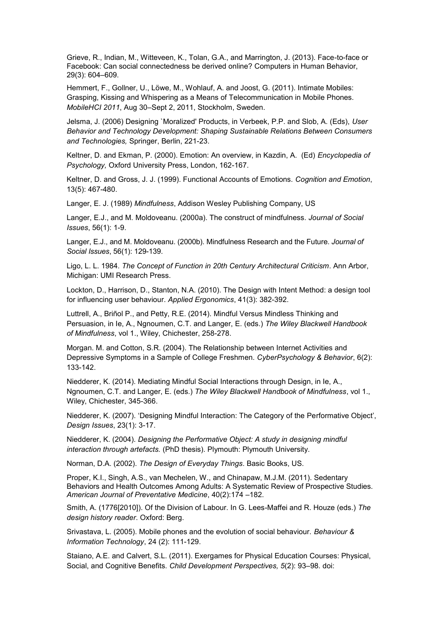Grieve, R., Indian, M., Witteveen, K., Tolan, G.A., and Marrington, J. (2013). Face-to-face or Facebook: Can social connectedness be derived online? Computers in Human Behavior, 29(3): 604–609.

Hemmert, F., Gollner, U., Löwe, M., Wohlauf, A. and Joost, G. (2011). Intimate Mobiles: Grasping, Kissing and Whispering as a Means of Telecommunication in Mobile Phones. *MobileHCI 2011*, Aug 30–Sept 2, 2011, Stockholm, Sweden.

Jelsma, J. (2006) Designing `Moralized' Products, in Verbeek, P.P. and Slob, A. (Eds), *User Behavior and Technology Development: Shaping Sustainable Relations Between Consumers and Technologies,* Springer, Berlin, 221-23.

Keltner, D. and Ekman, P. (2000). Emotion: An overview, in Kazdin, A. (Ed) *Encyclopedia of Psychology,* Oxford University Press, London, 162-167.

Keltner, D. and Gross, J. J. (1999). Functional Accounts of Emotions. *Cognition and Emotion*, 13(5): 467-480.

Langer, E. J. (1989) *Mindfulness*, Addison Wesley Publishing Company, US

Langer, E.J., and M. Moldoveanu. (2000a). The construct of mindfulness. *Journal of Social Issues*, 56(1): 1-9.

Langer, E.J., and M. Moldoveanu. (2000b). Mindfulness Research and the Future. *Journal of Social Issues*, 56(1): 129-139.

Ligo, L. L. 1984. *The Concept of Function in 20th Century Architectural Criticism*. Ann Arbor, Michigan: UMI Research Press.

Lockton, D., Harrison, D., Stanton, N.A. (2010). The Design with Intent Method: a design tool for influencing user behaviour. *Applied Ergonomics*, 41(3): 382-392.

Luttrell, A., Briñol P., and Petty, R.E. (2014). Mindful Versus Mindless Thinking and Persuasion, in Ie, A., Ngnoumen, C.T. and Langer, E. (eds.) *The Wiley Blackwell Handbook of Mindfulness*, vol 1., Wiley, Chichester, 258-278.

Morgan. M. and Cotton, S.R. (2004). The Relationship between Internet Activities and Depressive Symptoms in a Sample of College Freshmen. *CyberPsychology & Behavior*, 6(2): 133-142.

Niedderer, K. (2014). Mediating Mindful Social Interactions through Design, in Ie, A., Ngnoumen, C.T. and Langer, E. (eds.) *The Wiley Blackwell Handbook of Mindfulness*, vol 1., Wiley, Chichester, 345-366.

Niedderer, K. (2007). 'Designing Mindful Interaction: The Category of the Performative Object', *Design Issues*, 23(1): 3-17.

Niedderer, K. (2004). *Designing the Performative Object: A study in designing mindful interaction through artefacts.* (PhD thesis). Plymouth: Plymouth University.

Norman, D.A. (2002). *The Design of Everyday Things*. Basic Books, US.

Proper, K.I., Singh, A.S., van Mechelen, W., and Chinapaw, M.J.M. (2011). Sedentary Behaviors and Health Outcomes Among Adults: A Systematic Review of Prospective Studies. *American Journal of Preventative Medicine*, 40(2):174 –182.

Smith, A. (1776[2010]). Of the Division of Labour. In G. Lees-Maffei and R. Houze (eds.) *The design history reader*. Oxford: Berg.

Srivastava, L. (2005). Mobile phones and the evolution of social behaviour. *Behaviour & Information Technology*, 24 (2): 111-129.

Staiano, A.E. and Calvert, S.L. (2011). Exergames for Physical Education Courses: Physical, Social, and Cognitive Benefits. *Child Development Perspectives, 5*(2): 93–98. doi: